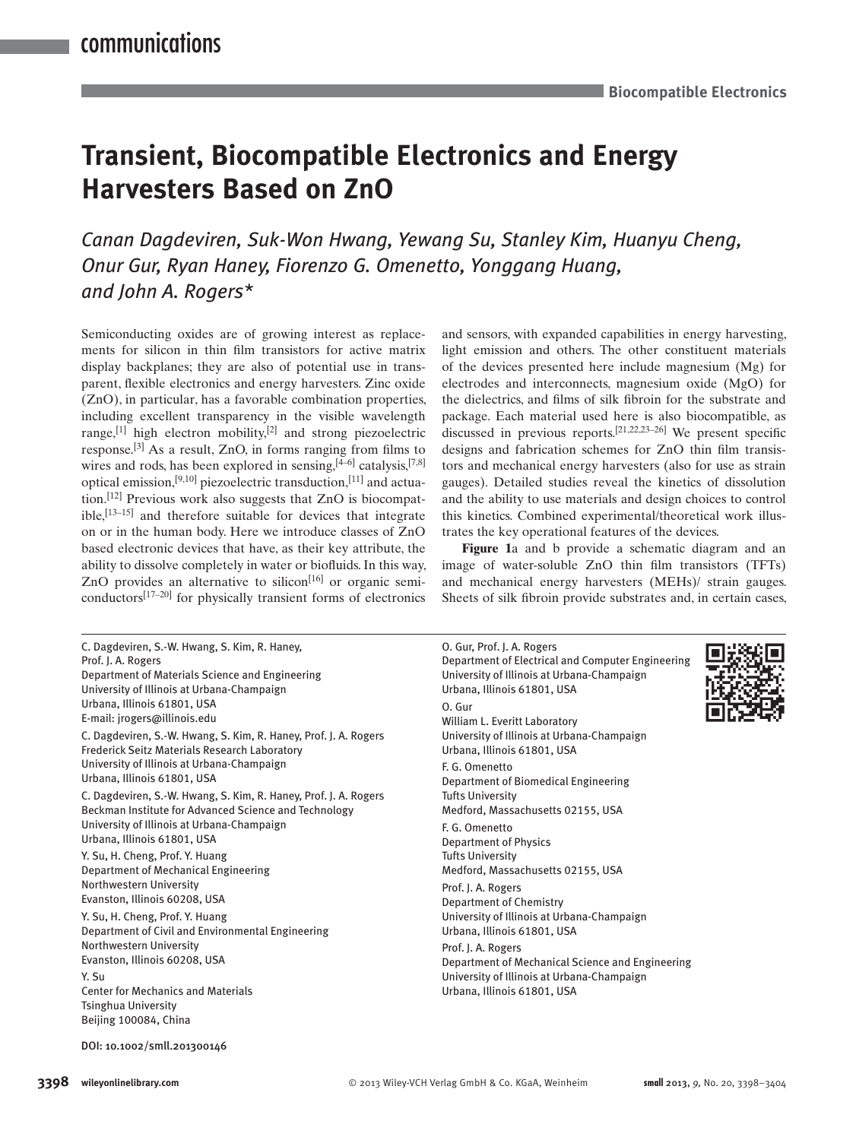# **Transient, Biocompatible Electronics and Energy Harvesters Based on ZnO**

*Canan Dagdeviren, Suk-Won Hwang, Yewang Su, Stanley Kim, Huanyu Cheng, Onur Gur , Ryan Haney , Fiorenzo G. Omenetto , Yonggang Huang , and John A. Rogers \** 

 Semiconducting oxides are of growing interest as replacements for silicon in thin film transistors for active matrix display backplanes; they are also of potential use in transparent, flexible electronics and energy harvesters. Zinc oxide (ZnO), in particular, has a favorable combination properties, including excellent transparency in the visible wavelength range,  $[1]$  high electron mobility,  $[2]$  and strong piezoelectric response.<sup>[3]</sup> As a result, ZnO, in forms ranging from films to wires and rods, has been explored in sensing, [4–6] catalysis, [7,8] optical emission,<sup>[9,10]</sup> piezoelectric transduction,<sup>[11]</sup> and actuation.<sup>[12]</sup> Previous work also suggests that ZnO is biocompat $i$ ble,  $\left[13-15\right]$  and therefore suitable for devices that integrate on or in the human body. Here we introduce classes of ZnO based electronic devices that have, as their key attribute, the ability to dissolve completely in water or biofluids. In this way, ZnO provides an alternative to silicon<sup>[16]</sup> or organic semiconductors $[17-20]$  for physically transient forms of electronics

 C. Dagdeviren, S.-W. Hwang, S. Kim, R. Haney, Prof. J. A. Rogers Department of Materials Science and Engineering University of Illinois at Urbana-Champaign Urbana, Illinois 61801, USA E-mail: jrogers@illinois.edu C. Dagdeviren, S.-W. Hwang, S. Kim, R. Haney, Prof. J. A. Rogers Frederick Seitz Materials Research Laboratory University of Illinois at Urbana-Champaign Urbana, Illinois 61801, USA C. Dagdeviren, S.-W. Hwang, S. Kim, R. Haney, Prof. J. A. Rogers Beckman Institute for Advanced Science and Technology University of Illinois at Urbana-Champaign Urbana, Illinois 61801, USA Y. Su, H. Cheng, Prof. Y. Huang Department of Mechanical Engineering Northwestern University Evanston, Illinois 60208, USA Y. Su, H. Cheng, Prof. Y. Huang Department of Civil and Environmental Engineering Northwestern University Evanston, Illinois 60208, USA Y. Su Center for Mechanics and Materials Tsinghua University Beijing 100084, China

and sensors, with expanded capabilities in energy harvesting, light emission and others. The other constituent materials of the devices presented here include magnesium (Mg) for electrodes and interconnects, magnesium oxide (MgO) for the dielectrics, and films of silk fibroin for the substrate and package. Each material used here is also biocompatible, as discussed in previous reports.  $[21, 22, 23-26]$  We present specific designs and fabrication schemes for ZnO thin film transistors and mechanical energy harvesters (also for use as strain gauges). Detailed studies reveal the kinetics of dissolution and the ability to use materials and design choices to control this kinetics. Combined experimental/theoretical work illustrates the key operational features of the devices.

Figure 1a and b provide a schematic diagram and an image of water-soluble ZnO thin film transistors (TFTs) and mechanical energy harvesters (MEHs)/ strain gauges. Sheets of silk fibroin provide substrates and, in certain cases,

| O. Gur, Prof. J. A. Rogers<br>Department of Electrical and Computer Engineering<br>University of Illinois at Urbana-Champaign<br>Urbana, Illinois 61801, USA |  |
|--------------------------------------------------------------------------------------------------------------------------------------------------------------|--|
| O. Gur<br>William L. Everitt Laboratory<br>University of Illinois at Urbana-Champaign<br>Urbana, Illinois 61801, USA                                         |  |
| F. G. Omenetto<br>Department of Biomedical Engineering<br><b>Tufts University</b><br>Medford, Massachusetts 02155, USA                                       |  |
| F. G. Omenetto<br><b>Department of Physics</b><br><b>Tufts University</b><br>Medford, Massachusetts 02155, USA                                               |  |
| Prof. J. A. Rogers<br><b>Department of Chemistry</b><br>University of Illinois at Urbana-Champaign<br>Urbana, Illinois 61801, USA                            |  |
| Prof. J. A. Rogers<br>Department of Mechanical Science and Engineering<br>University of Illinois at Urbana-Champaign<br>Urbana, Illinois 61801, USA          |  |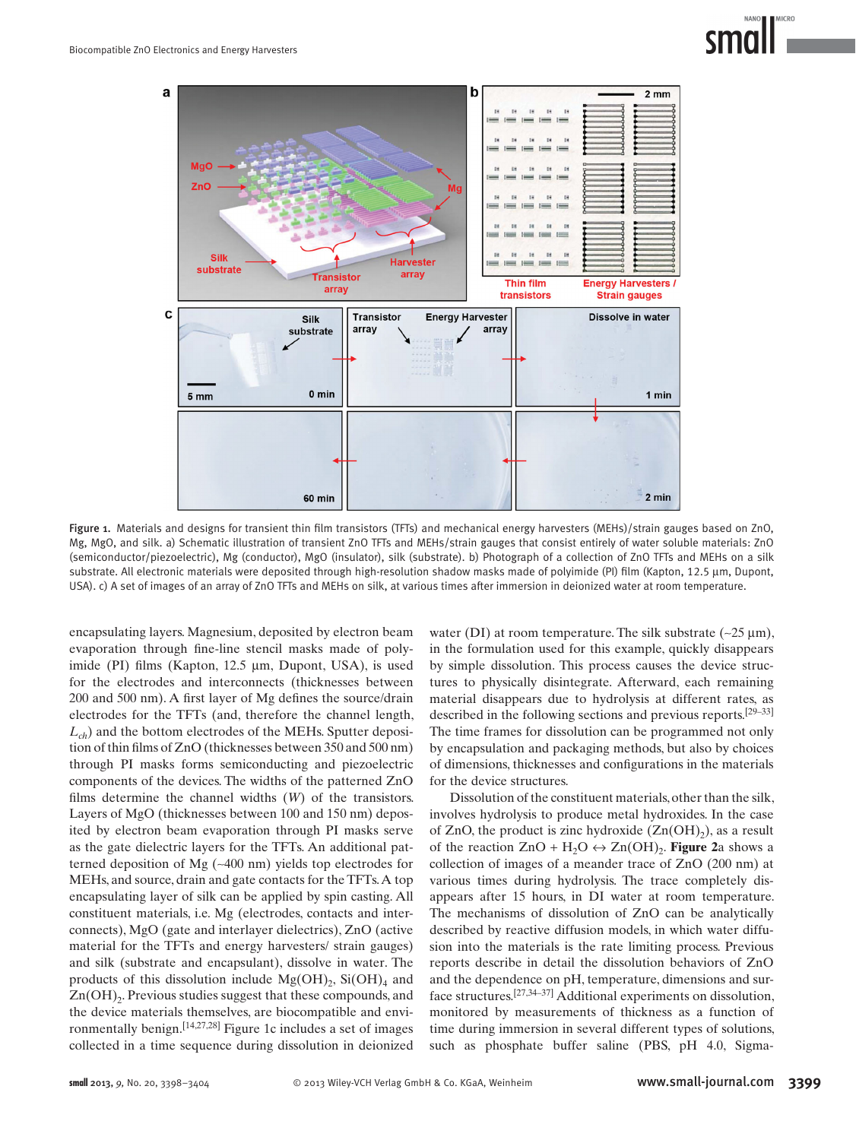



Figure 1. Materials and designs for transient thin film transistors (TFTs) and mechanical energy harvesters (MEHs)/strain gauges based on ZnO, Mg, MgO, and silk. a) Schematic illustration of transient ZnO TFTs and MEHs/strain gauges that consist entirely of water soluble materials: ZnO (semiconductor/piezoelectric), Mg (conductor), MgO (insulator), silk (substrate). b) Photograph of a collection of ZnO TFTs and MEHs on a silk substrate. All electronic materials were deposited through high-resolution shadow masks made of polyimide (PI) film (Kapton, 12.5 μm, Dupont, USA). c) A set of images of an array of ZnO TFTs and MEHs on silk, at various times after immersion in deionized water at room temperature.

encapsulating layers. Magnesium, deposited by electron beam evaporation through fine-line stencil masks made of polyimide (PI) films (Kapton, 12.5 μm, Dupont, USA), is used for the electrodes and interconnects (thicknesses between 200 and 500 nm). A first layer of Mg defines the source/drain electrodes for the TFTs (and, therefore the channel length,  $L_{ch}$ ) and the bottom electrodes of the MEHs. Sputter deposition of thin films of  $ZnO$  (thicknesses between 350 and 500 nm) through PI masks forms semiconducting and piezoelectric components of the devices. The widths of the patterned ZnO films determine the channel widths  $(W)$  of the transistors. Layers of MgO (thicknesses between 100 and 150 nm) deposited by electron beam evaporation through PI masks serve as the gate dielectric layers for the TFTs. An additional patterned deposition of Mg (~400 nm) yields top electrodes for MEHs, and source, drain and gate contacts for the TFTs. A top encapsulating layer of silk can be applied by spin casting. All constituent materials, i.e. Mg (electrodes, contacts and interconnects), MgO (gate and interlayer dielectrics), ZnO (active material for the TFTs and energy harvesters/ strain gauges) and silk (substrate and encapsulant), dissolve in water. The products of this dissolution include  $Mg(OH)_{2}$ , Si $(OH)_{4}$  and  $Zn(OH)$ <sub>2</sub>. Previous studies suggest that these compounds, and the device materials themselves, are biocompatible and environmentally benign.  $[14, 27, 28]$  Figure 1c includes a set of images collected in a time sequence during dissolution in deionized

water (DI) at room temperature. The silk substrate  $(-25 \mu m)$ , in the formulation used for this example, quickly disappears by simple dissolution. This process causes the device structures to physically disintegrate. Afterward, each remaining material disappears due to hydrolysis at different rates, as described in the following sections and previous reports. [29–33] The time frames for dissolution can be programmed not only by encapsulation and packaging methods, but also by choices of dimensions, thicknesses and configurations in the materials for the device structures.

 Dissolution of the constituent materials, other than the silk, involves hydrolysis to produce metal hydroxides. In the case of ZnO, the product is zinc hydroxide  $(Zn(OH<sub>2</sub>),$  as a result of the reaction  $ZnO + H<sub>2</sub>O \leftrightarrow Zn(OH)<sub>2</sub>$ . **Figure** 2a shows a collection of images of a meander trace of ZnO (200 nm) at various times during hydrolysis. The trace completely disappears after 15 hours, in DI water at room temperature. The mechanisms of dissolution of ZnO can be analytically described by reactive diffusion models, in which water diffusion into the materials is the rate limiting process. Previous reports describe in detail the dissolution behaviors of ZnO and the dependence on pH, temperature, dimensions and surface structures.<sup>[27,34-37]</sup> Additional experiments on dissolution, monitored by measurements of thickness as a function of time during immersion in several different types of solutions, such as phosphate buffer saline (PBS, pH 4.0, Sigma-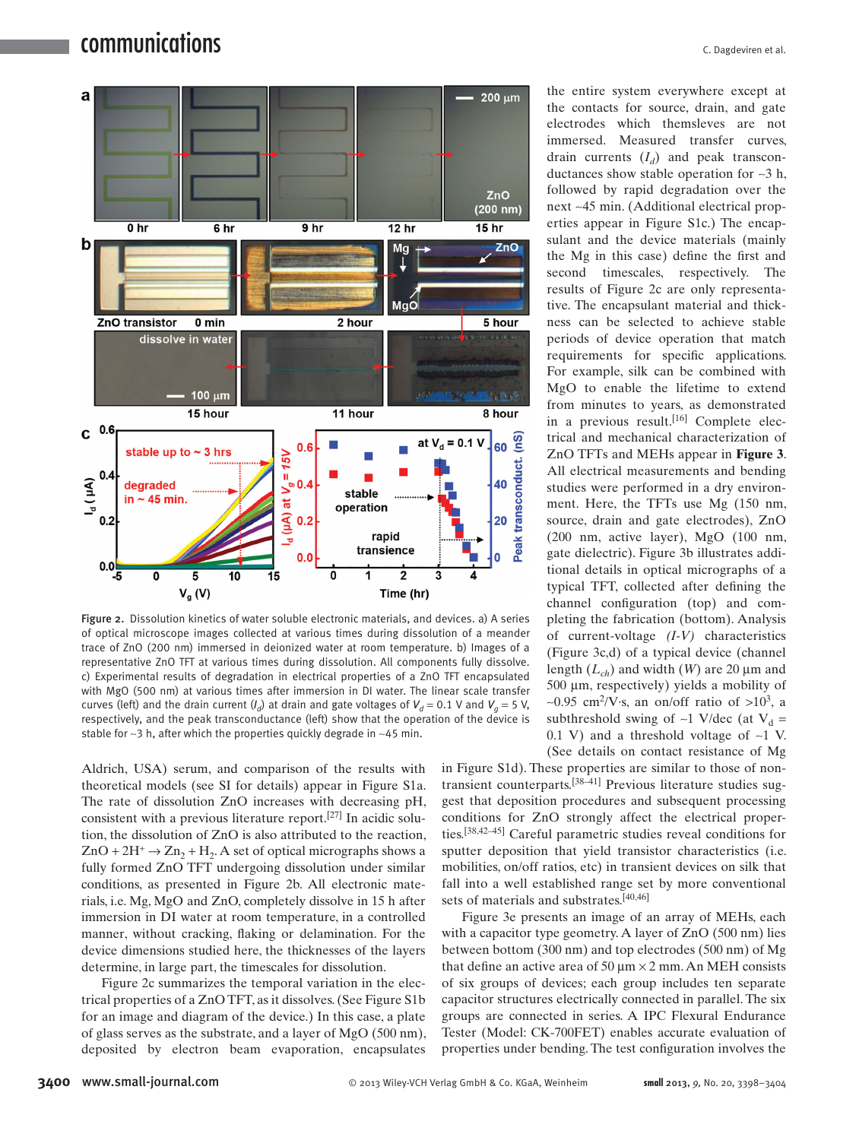

Figure 2. Dissolution kinetics of water soluble electronic materials, and devices. a) A series of optical microscope images collected at various times during dissolution of a meander trace of ZnO (200 nm) immersed in deionized water at room temperature. b) Images of a representative ZnO TFT at various times during dissolution. All components fully dissolve. c) Experimental results of degradation in electrical properties of a ZnO TFT encapsulated with MgO (500 nm) at various times after immersion in DI water. The linear scale transfer curves (left) and the drain current  $(I_d)$  at drain and gate voltages of  $V_d = 0.1$  V and  $V_g = 5$  V, respectively, and the peak transconductance (left) show that the operation of the device is stable for ∼3 h, after which the properties quickly degrade in ~45 min.

Aldrich, USA) serum, and comparison of the results with theoretical models (see SI for details) appear in Figure S1a. The rate of dissolution ZnO increases with decreasing pH, consistent with a previous literature report.<sup>[27]</sup> In acidic solution, the dissolution of ZnO is also attributed to the reaction,  $ZnO + 2H^+ \rightarrow Zn_2 + H_2$ . A set of optical micrographs shows a fully formed ZnO TFT undergoing dissolution under similar conditions, as presented in Figure 2b. All electronic materials, i.e. Mg, MgO and ZnO, completely dissolve in 15 h after immersion in DI water at room temperature, in a controlled manner, without cracking, flaking or delamination. For the device dimensions studied here, the thicknesses of the layers determine, in large part, the timescales for dissolution.

Figure 2c summarizes the temporal variation in the electrical properties of a ZnO TFT, as it dissolves. (See Figure S1b for an image and diagram of the device.) In this case, a plate of glass serves as the substrate, and a layer of MgO (500 nm), deposited by electron beam evaporation, encapsulates

the entire system everywhere except at the contacts for source, drain, and gate electrodes which themsleves are not immersed. Measured transfer curves, drain currents  $(I_d)$  and peak transconductances show stable operation for ∼3 h, followed by rapid degradation over the next ~45 min. (Additional electrical properties appear in Figure S1c.) The encapsulant and the device materials (mainly the Mg in this case) define the first and second timescales, respectively. The results of Figure 2c are only representative. The encapsulant material and thickness can be selected to achieve stable periods of device operation that match requirements for specific applications. For example, silk can be combined with MgO to enable the lifetime to extend from minutes to years, as demonstrated in a previous result.<sup>[16]</sup> Complete electrical and mechanical characterization of ZnO TFTs and MEHs appear in **Figure 3** . All electrical measurements and bending studies were performed in a dry environment. Here, the TFTs use Mg (150 nm, source, drain and gate electrodes), ZnO (200 nm, active layer), MgO (100 nm, gate dielectric). Figure 3b illustrates additional details in optical micrographs of a typical TFT, collected after defining the channel configuration (top) and completing the fabrication (bottom). Analysis of current-voltage *(I-V)* characteristics (Figure 3c,d) of a typical device (channel length  $(L_{ch})$  and width (*W*) are 20  $\mu$ m and  $500 \mu m$ , respectively) yields a mobility of ~0.95 cm<sup>2</sup>/V⋅s, an on/off ratio of >10<sup>3</sup>, a subthreshold swing of ∼1 V/dec (at  $V_d$  = 0.1 V) and a threshold voltage of  $~1$  V. (See details on contact resistance of Mg

in Figure S1d). These properties are similar to those of nontransient counterparts.<sup>[38-41]</sup> Previous literature studies suggest that deposition procedures and subsequent processing conditions for ZnO strongly affect the electrical properties. [38,42–45] Careful parametric studies reveal conditions for sputter deposition that yield transistor characteristics (i.e. mobilities, on/off ratios, etc) in transient devices on silk that fall into a well established range set by more conventional sets of materials and substrates.<sup>[40,46]</sup>

Figure 3e presents an image of an array of MEHs, each with a capacitor type geometry. A layer of  $ZnO(500 \text{ nm})$  lies between bottom (300 nm) and top electrodes (500 nm) of Mg that define an active area of 50  $\mu$ m × 2 mm. An MEH consists of six groups of devices; each group includes ten separate capacitor structures electrically connected in parallel. The six groups are connected in series. A IPC Flexural Endurance Tester (Model: CK-700FET) enables accurate evaluation of properties under bending. The test configuration involves the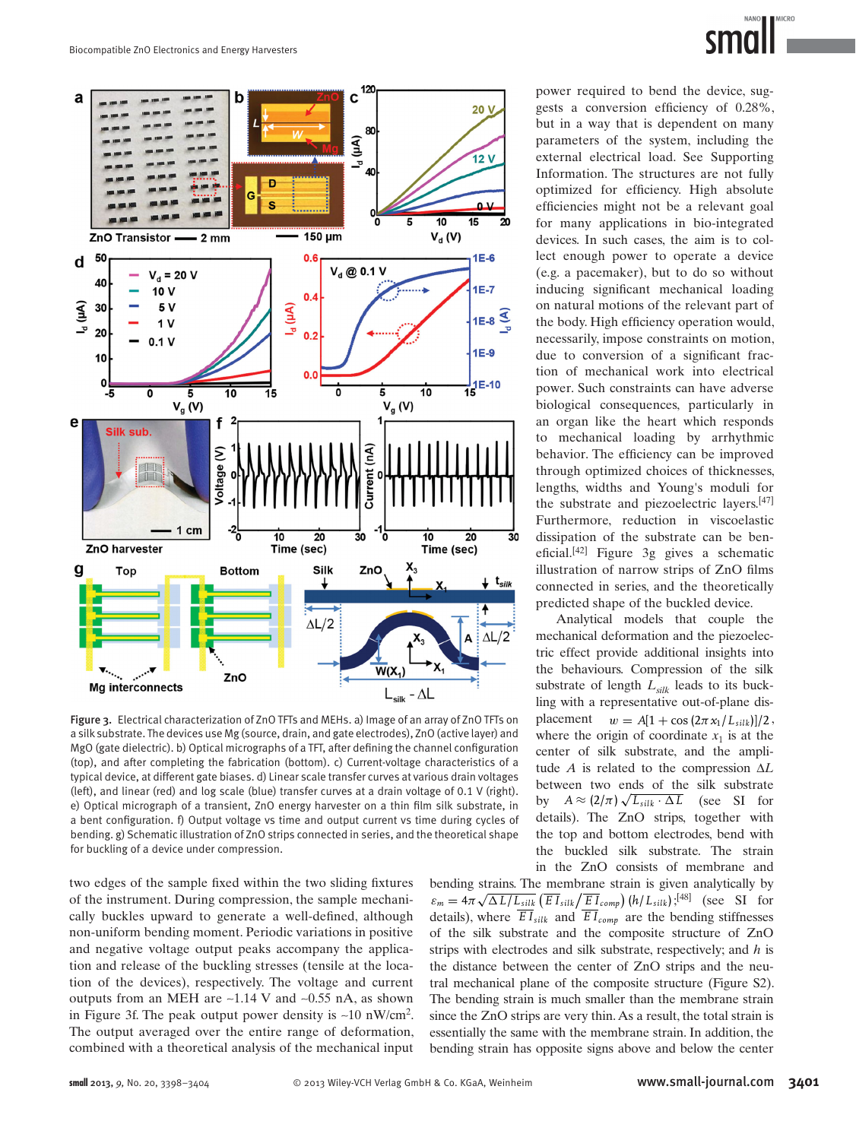

Figure 3. Electrical characterization of ZnO TFTs and MEHs. a) Image of an array of ZnO TFTs on a silk substrate. The devices use Mg (source, drain, and gate electrodes), ZnO (active layer) and MgO (gate dielectric). b) Optical micrographs of a TFT, after defining the channel configuration (top), and after completing the fabrication (bottom). c) Current-voltage characteristics of a typical device, at different gate biases. d) Linear scale transfer curves at various drain voltages (left), and linear (red) and log scale (blue) transfer curves at a drain voltage of 0.1 V (right). e) Optical micrograph of a transient, ZnO energy harvester on a thin film silk substrate, in a bent configuration. f) Output voltage vs time and output current vs time during cycles of bending. g) Schematic illustration of ZnO strips connected in series, and the theoretical shape for buckling of a device under compression.

two edges of the sample fixed within the two sliding fixtures of the instrument. During compression, the sample mechanically buckles upward to generate a well-defined, although non-uniform bending moment. Periodic variations in positive and negative voltage output peaks accompany the application and release of the buckling stresses (tensile at the location of the devices), respectively. The voltage and current outputs from an MEH are ~1.14 V and ~0.55 nA, as shown in Figure 3f. The peak output power density is  $~10 \text{ nW/cm}^2$ . The output averaged over the entire range of deformation, combined with a theoretical analysis of the mechanical input power required to bend the device, suggests a conversion efficiency of 0.28%, but in a way that is dependent on many parameters of the system, including the external electrical load. See Supporting Information. The structures are not fully optimized for efficiency. High absolute efficiencies might not be a relevant goal for many applications in bio-integrated devices. In such cases, the aim is to collect enough power to operate a device (e.g. a pacemaker), but to do so without inducing significant mechanical loading on natural motions of the relevant part of the body. High efficiency operation would, necessarily, impose constraints on motion, due to conversion of a significant fraction of mechanical work into electrical power. Such constraints can have adverse biological consequences, particularly in an organ like the heart which responds to mechanical loading by arrhythmic behavior. The efficiency can be improved through optimized choices of thicknesses, lengths, widths and Young's moduli for the substrate and piezoelectric layers. [47] Furthermore, reduction in viscoelastic dissipation of the substrate can be beneficial. $[42]$  Figure 3g gives a schematic illustration of narrow strips of ZnO films connected in series, and the theoretically predicted shape of the buckled device.

 Analytical models that couple the mechanical deformation and the piezoelectric effect provide additional insights into the behaviours. Compression of the silk substrate of length  $L<sub>silk</sub>$  leads to its buckling with a representative out-of-plane displacement  $w = A[1 + \cos(2\pi x_1/L_{silk})]/2$ , where the origin of coordinate  $x_1$  is at the center of silk substrate, and the amplitude *A* is related to the compression Δ*L* between two ends of the silk substrate by  $A \approx (2/\pi) \sqrt{L_{silk} \cdot \Delta L}$  (see SI for details). The ZnO strips, together with the top and bottom electrodes, bend with the buckled silk substrate. The strain in the ZnO consists of membrane and

bending strains. The membrane strain is given analytically by  $\varepsilon_m = 4\pi \sqrt{\Delta L/L_{silk}} \left( \overline{EI}_{silk} / \overline{EI}_{comp} \right) (h/L_{silk})$ ;<sup>[48]</sup> (see SI for details), where  $\overline{EI}_{silk}$  and  $\overline{EI}_{comp}$  are the bending stiffnesses of the silk substrate and the composite structure of ZnO strips with electrodes and silk substrate, respectively; and *h* is the distance between the center of ZnO strips and the neutral mechanical plane of the composite structure (Figure S2). The bending strain is much smaller than the membrane strain since the ZnO strips are very thin. As a result, the total strain is essentially the same with the membrane strain. In addition, the bending strain has opposite signs above and below the center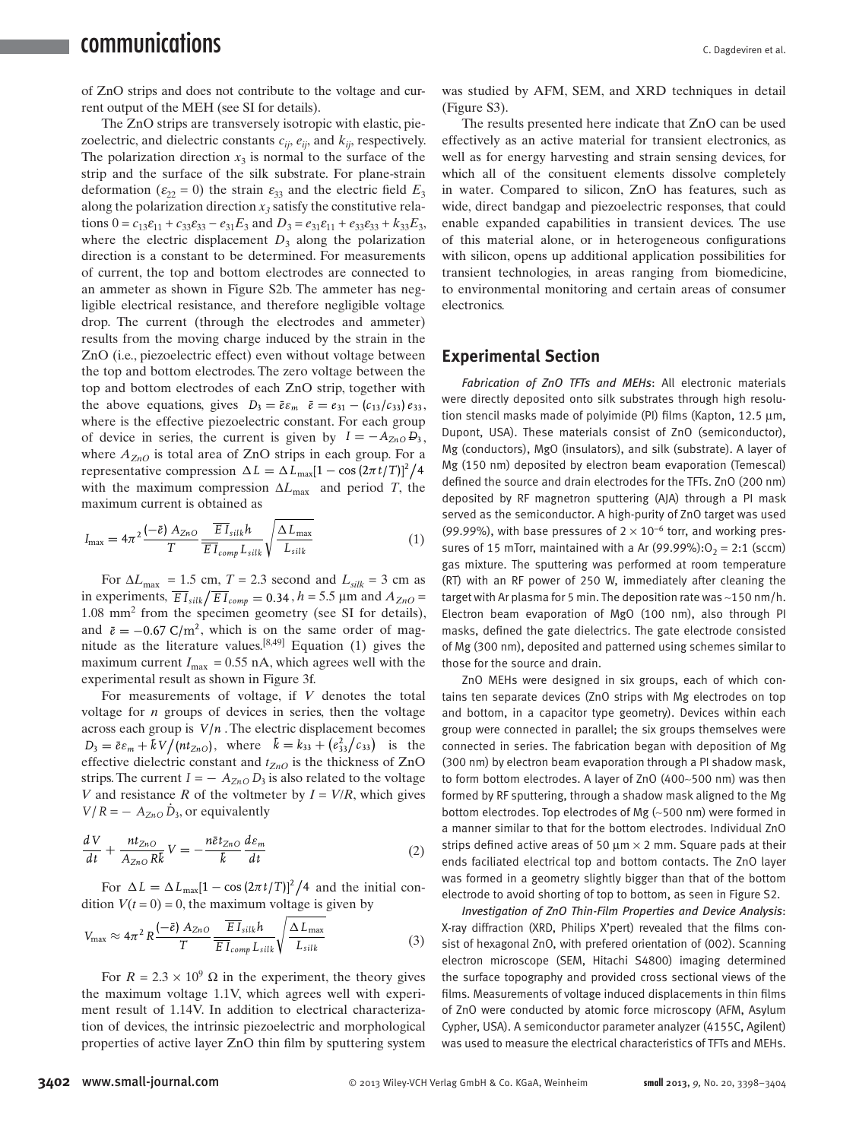of ZnO strips and does not contribute to the voltage and current output of the MEH (see SI for details).

 The ZnO strips are transversely isotropic with elastic, piezoelectric, and dielectric constants  $c_{ii}$ ,  $e_{ii}$ , and  $k_{ii}$ , respectively. The polarization direction  $x_3$  is normal to the surface of the strip and the surface of the silk substrate. For plane-strain deformation ( $\varepsilon_{22} = 0$ ) the strain  $\varepsilon_{33}$  and the electric field  $E_3$ along the polarization direction  $x_3$  satisfy the constitutive relations  $0 = c_{13}\varepsilon_{11} + c_{33}\varepsilon_{33} - e_{31}E_3$  and  $D_3 = e_{31}\varepsilon_{11} + e_{33}\varepsilon_{33} + k_{33}E_3$ where the electric displacement  $D_3$  along the polarization direction is a constant to be determined. For measurements of current, the top and bottom electrodes are connected to an ammeter as shown in Figure S2b. The ammeter has negligible electrical resistance, and therefore negligible voltage drop. The current (through the electrodes and ammeter) results from the moving charge induced by the strain in the ZnO (i.e., piezoelectric effect) even without voltage between the top and bottom electrodes. The zero voltage between the top and bottom electrodes of each ZnO strip, together with the above equations, gives  $D_3 = \bar{\varepsilon} \varepsilon_m \quad \bar{\varepsilon} = \varepsilon_{31} - (c_{13}/c_{33}) \varepsilon_{33}$ , where is the effective piezoelectric constant. For each group of device in series, the current is given by  $I = -A_{ZnO}B_3$ , where  $A_{7nO}$  is total area of ZnO strips in each group. For a representative compression  $\Delta L = \Delta L_{\text{max}}[1 - \cos(2\pi t/T)]^2/4$ with the maximum compression  $\Delta L_{\text{max}}$  and period *T*, the maximum current is obtained as

$$
I_{\max} = 4\pi^2 \frac{(-\bar{e}) A_{ZnO}}{T} \frac{\overline{EI}_{silk} h}{\overline{EI}_{comp} L_{silk}} \sqrt{\frac{\Delta L_{\max}}{L_{silk}}}
$$
(1)

For  $\Delta L_{\text{max}} = 1.5$  cm,  $T = 2.3$  second and  $L_{\text{silk}} = 3$  cm as in experiments,  $\overline{EI}_{silk}/\overline{EI}_{comp} = 0.34$ ,  $h = 5.5$  µm and  $A_{ZnO} =$  $1.08$  mm<sup>2</sup> from the specimen geometry (see SI for details), and  $\bar{e} = -0.67 \text{ C/m}^2$ , which is on the same order of magnitude as the literature values.  $[8,49]$  Equation (1) gives the maximum current  $I_{\text{max}} = 0.55$  nA, which agrees well with the experimental result as shown in Figure 3f.

 For measurements of voltage, if *V* denotes the total voltage for *n* groups of devices in series, then the voltage across each group is *V*/*n* . The electric displacement becomes  $D_3 = \bar{\varepsilon} \varepsilon_m + kV \cdot (nt_{ZnO}),$  where  $\bar{k} = k_{33} + (e_{33}^2/c_{33})$  is the effective dielectric constant and  $t_{ZnO}$  is the thickness of  $ZnO$ strips. The current  $I = -A_{ZnO} D_3$  is also related to the voltage *V* and resistance *R* of the voltmeter by  $I = V/R$ , which gives  $V/R = -A_{ZnO} D_3$ , or equivalently

$$
\frac{dV}{dt} + \frac{nt_{ZnO}}{A_{ZnO}R\bar{k}}V = -\frac{n\bar{\varepsilon}t_{ZnO}}{\bar{k}}\frac{d\varepsilon_m}{dt}
$$
 (2)

For  $\Delta L = \Delta L_{\text{max}}[1 - \cos(2\pi t/T)]^2/4$  and the initial condition  $V(t = 0) = 0$ , the maximum voltage is given by

$$
V_{\text{max}} \approx 4\pi^2 R \frac{(-\bar{e}) A_{ZnO}}{T} \frac{\overline{E I}_{silk} h}{\overline{E I}_{comp} L_{silk}} \sqrt{\frac{\Delta L_{\text{max}}}{L_{silk}}} \tag{3}
$$

For  $R = 2.3 \times 10^9 \Omega$  in the experiment, the theory gives the maximum voltage 1.1V, which agrees well with experiment result of 1.14V. In addition to electrical characterization of devices, the intrinsic piezoelectric and morphological properties of active layer ZnO thin film by sputtering system

was studied by AFM, SEM, and XRD techniques in detail (Figure S3).

 The results presented here indicate that ZnO can be used effectively as an active material for transient electronics, as well as for energy harvesting and strain sensing devices, for which all of the consituent elements dissolve completely in water. Compared to silicon, ZnO has features, such as wide, direct bandgap and piezoelectric responses, that could enable expanded capabilities in transient devices. The use of this material alone, or in heterogeneous configurations with silicon, opens up additional application possibilities for transient technologies, in areas ranging from biomedicine, to environmental monitoring and certain areas of consumer electronics.

### **Experimental Section**

Fabrication of ZnO TFTs and MEHs: All electronic materials were directly deposited onto silk substrates through high resolution stencil masks made of polyimide (PI) films (Kapton, 12.5  $\mu$ m, Dupont, USA). These materials consist of ZnO (semiconductor), Mg (conductors), MgO (insulators), and silk (substrate). A layer of Mg (150 nm) deposited by electron beam evaporation (Temescal) defined the source and drain electrodes for the TFTs. ZnO (200 nm) deposited by RF magnetron sputtering (AJA) through a PI mask served as the semiconductor. A high-purity of ZnO target was used (99.99%), with base pressures of  $2 \times 10^{-6}$  torr, and working pressures of 15 mTorr, maintained with a Ar (99.99%): $O_2 = 2:1$  (sccm) gas mixture. The sputtering was performed at room temperature (RT) with an RF power of 250 W, immediately after cleaning the target with Ar plasma for 5 min. The deposition rate was ∼ 150 nm/h. Electron beam evaporation of MgO (100 nm), also through PI masks, defined the gate dielectrics. The gate electrode consisted of Mg (300 nm), deposited and patterned using schemes similar to those for the source and drain.

 ZnO MEHs were designed in six groups, each of which contains ten separate devices (ZnO strips with Mg electrodes on top and bottom, in a capacitor type geometry). Devices within each group were connected in parallel; the six groups themselves were connected in series. The fabrication began with deposition of Mg (300 nm) by electron beam evaporation through a PI shadow mask, to form bottom electrodes. A layer of ZnO (400 ∼ 500 nm) was then formed by RF sputtering, through a shadow mask aligned to the Mg bottom electrodes. Top electrodes of Mg ( ∼ 500 nm) were formed in a manner similar to that for the bottom electrodes. Individual ZnO strips defined active areas of 50  $\mu$ m  $\times$  2 mm. Square pads at their ends faciliated electrical top and bottom contacts. The ZnO layer was formed in a geometry slightly bigger than that of the bottom electrode to avoid shorting of top to bottom, as seen in Figure S2.

*Investigation of ZnO Thin-Film Properties and Device Analysis* : X-ray diffraction (XRD, Philips X'pert) revealed that the films consist of hexagonal ZnO, with prefered orientation of (002). Scanning electron microscope (SEM, Hitachi S4800) imaging determined the surface topography and provided cross sectional views of the films. Measurements of voltage induced displacements in thin films of ZnO were conducted by atomic force microscopy (AFM, Asylum Cypher, USA). A semiconductor parameter analyzer (4155C, Agilent) was used to measure the electrical characteristics of TFTs and MEHs.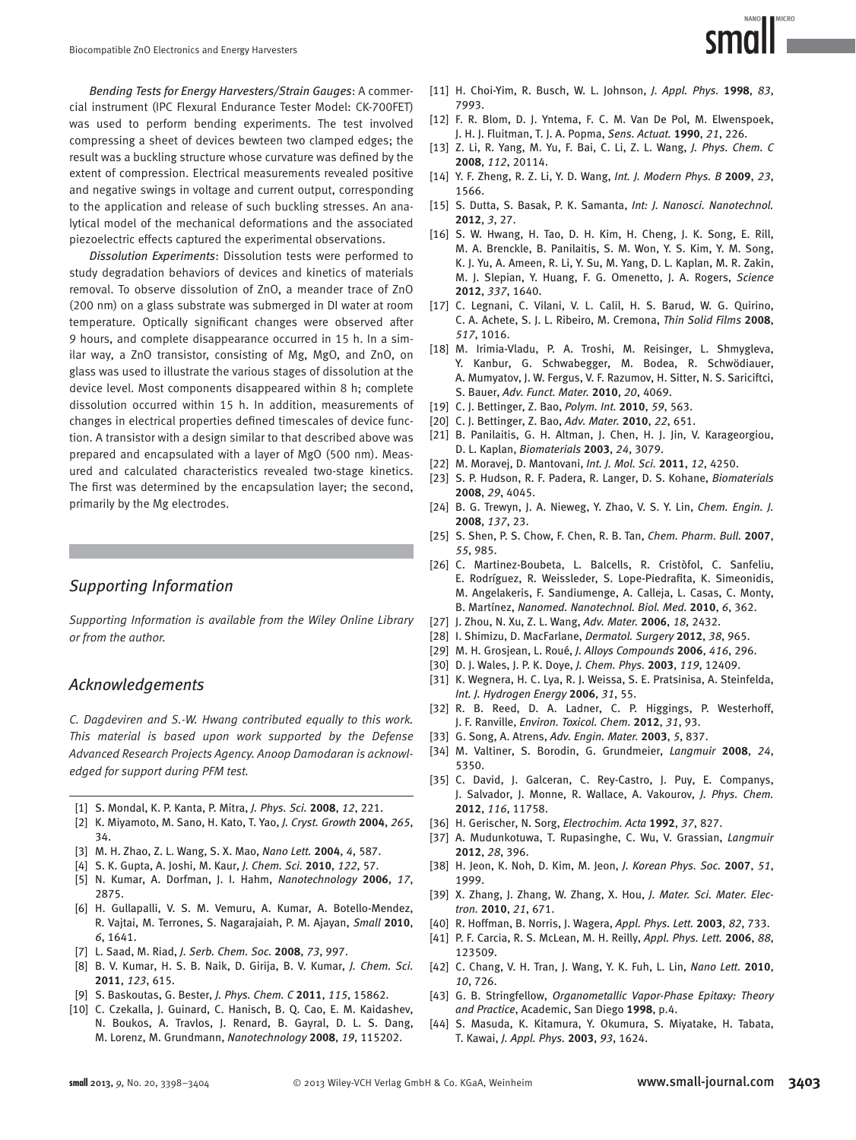*Bending Tests for Energy Harvesters/Strain Gauges* : A commercial instrument (IPC Flexural Endurance Tester Model: CK-700FET) was used to perform bending experiments. The test involved compressing a sheet of devices bewteen two clamped edges; the result was a buckling structure whose curvature was defined by the extent of compression. Electrical measurements revealed positive and negative swings in voltage and current output, corresponding to the application and release of such buckling stresses. An analytical model of the mechanical deformations and the associated piezoelectric effects captured the experimental observations.

*Dissolution Experiments* : Dissolution tests were performed to study degradation behaviors of devices and kinetics of materials removal. To observe dissolution of ZnO, a meander trace of ZnO (200 nm) on a glass substrate was submerged in DI water at room temperature. Optically significant changes were observed after 9 hours, and complete disappearance occurred in 15 h. In a similar way, a ZnO transistor, consisting of Mg, MgO, and ZnO, on glass was used to illustrate the various stages of dissolution at the device level. Most components disappeared within 8 h; complete dissolution occurred within 15 h. In addition, measurements of changes in electrical properties defined timescales of device function. A transistor with a design similar to that described above was prepared and encapsulated with a layer of MgO (500 nm). Measured and calculated characteristics revealed two-stage kinetics. The first was determined by the encapsulation layer; the second, primarily by the Mg electrodes.

## *Supporting Information*

 *Supporting Information is available from the Wiley Online Library or from the author.* 

#### *Acknowledgements*

 *C. Dagdeviren and S.-W. Hwang contributed equally to this work. This material is based upon work supported by the Defense Advanced Research Projects Agency. Anoop Damodaran is acknowledged for support during PFM test.* 

- [1] S. Mondal, K. P. Kanta, P. Mitra, J. Phys. Sci. 2008, 12, 221.
- [ 2 ] K. Miyamoto , M. Sano , H. Kato , T. Yao , *J. Cryst. Growth* **2004** , *265* , 34.
- [3] M. H. Zhao, Z. L. Wang, S. X. Mao, Nano Lett. 2004, 4, 587.
- [4] S. K. Gupta, A. Joshi, M. Kaur, J. Chem. Sci. 2010, 122, 57.
- [5] N. Kumar, A. Dorfman, J. I. Hahm, *Nanotechnology* 2006, 17, 2875 .
- [6] H. Gullapalli, V. S. M. Vemuru, A. Kumar, A. Botello-Mendez, R. Vajtai, M. Terrones, S. Nagarajaiah, P. M. Ajayan, Small 2010, *6* , 1641 .
- [7] L. Saad, M. Riad, *J. Serb. Chem. Soc.* 2008, 73, 997.
- [8] B. V. Kumar, H. S. B. Naik, D. Girija, B. V. Kumar, *J. Chem. Sci.* **2011** , *123* , 615 .
- [9] S. Baskoutas, G. Bester, J. Phys. Chem. C 2011, 115, 15862.
- [10] C. Czekalla, J. Guinard, C. Hanisch, B. Q. Cao, E. M. Kaidashev, N. Boukos, A. Travlos, J. Renard, B. Gayral, D. L. S. Dang, M. Lorenz , M. Grundmann , *Nanotechnology* **2008** , *19* , 115202 .

[11] H. Choi-Yim, R. Busch, W. L. Johnson, *J. Appl. Phys.* 1998, 83, 7993 .

**MICRO** 

- [12] F. R. Blom, D. J. Yntema, F. C. M. Van De Pol, M. Elwenspoek, J. H. J. Fluitman , T. J. A. Popma , *Sens. Actuat.* **1990** , *21* , 226 .
- [13] Z. Li, R. Yang, M. Yu, F. Bai, C. Li, Z. L. Wang, *J. Phys. Chem. C* **2008** , *112* , 20114 .
- [14] Y. F. Zheng, R. Z. Li, Y. D. Wang, *Int. J. Modern Phys. B* 2009, 23, 1566.
- [15] S. Dutta, S. Basak, P. K. Samanta, *Int: J. Nanosci. Nanotechnol.* **2012** , *3* , 27 .
- [16] S. W. Hwang, H. Tao, D. H. Kim, H. Cheng, J. K. Song, E. Rill, M. A. Brenckle, B. Panilaitis, S. M. Won, Y. S. Kim, Y. M. Song, K. J. Yu, A. Ameen, R. Li, Y. Su, M. Yang, D. L. Kaplan, M. R. Zakin, M. J. Slepian, Y. Huang, F. G. Omenetto, J. A. Rogers, Science **2012** , *337* , 1640 .
- [17] C. Legnani, C. Vilani, V. L. Calil, H. S. Barud, W. G. Quirino, C. A. Achete, S. J. L. Ribeiro, M. Cremona, *Thin Solid Films* 2008, *517* , 1016 .
- [18] M. Irimia-Vladu, P. A. Troshi, M. Reisinger, L. Shmygleva, Y. Kanbur, G. Schwabegger, M. Bodea, R. Schwödiauer, A. Mumyatov, J. W. Fergus, V. F. Razumov, H. Sitter, N. S. Sariciftci, S. Bauer , *Adv. Funct. Mater.* **2010** , *20* , 4069 .
- [19] C. J. Bettinger, Z. Bao, *Polym. Int.* 2010, 59, 563.
- [20] C. J. Bettinger, Z. Bao, Adv. Mater. 2010, 22, 651.
- [21] B. Panilaitis, G. H. Altman, J. Chen, H. J. Jin, V. Karageorgiou, D. L. Kaplan , *Biomaterials* **2003** , *24* , 3079 .
- [22] M. Moravej, D. Mantovani, *Int. J. Mol. Sci.* 2011, 12, 4250.
- [23] S. P. Hudson, R. F. Padera, R. Langer, D. S. Kohane, *Biomaterials* **2008** , *29* , 4045 .
- [24] B. G. Trewyn, J. A. Nieweg, Y. Zhao, V. S. Y. Lin, Chem. Engin. J. **2008** , *137* , 23 .
- [25] S. Shen, P. S. Chow, F. Chen, R. B. Tan, *Chem. Pharm. Bull.* 2007, *55* , 985 .
- [26] C. Martinez-Boubeta, L. Balcells, R. Cristòfol, C. Sanfeliu, E. Rodríguez, R. Weissleder, S. Lope-Piedrafita, K. Simeonidis, M. Angelakeris, F. Sandiumenge, A. Calleja, L. Casas, C. Monty, B. Martínez , *Nanomed. Nanotechnol. Biol. Med.* **2010** , *6* , 362 .
- [27] J. Zhou, N. Xu, Z. L. Wang, Adv. Mater. 2006, 18, 2432.
- [ 28 ] I. Shimizu , D. MacFarlane , *Dermatol. Surgery* **2012** , *38* , 965 .
- [ 29 ] M. H. Grosjean , L. Roué , *J. Alloys Compounds* **2006** , *416* , 296 .
- [30] D. J. Wales, J. P. K. Doye, J. Chem. Phys. 2003, 119, 12409.
- [31] K. Wegnera, H. C. Lya, R. J. Weissa, S. E. Pratsinisa, A. Steinfelda, *Int. J. Hydrogen Energy* **2006** , *31* , 55 .
- [32] R. B. Reed, D. A. Ladner, C. P. Higgings, P. Westerhoff, J. F. Ranville , *Environ. Toxicol. Chem.* **2012** , *31* , 93 .
- [33] G. Song, A. Atrens, Adv. Engin. Mater. 2003, 5, 837.
- [34] M. Valtiner, S. Borodin, G. Grundmeier, Langmuir 2008, 24, 5350 .
- [35] C. David, J. Galceran, C. Rey-Castro, J. Puy, E. Companys, J. Salvador, J. Monne, R. Wallace, A. Vakourov, *J. Phys. Chem.* **2012** , *116* , 11758 .
- [36] H. Gerischer, N. Sorg, *Electrochim. Acta* 1992, 37, 827.
- [37] A. Mudunkotuwa, T. Rupasinghe, C. Wu, V. Grassian, *Langmuir* **2012** , *28* , 396 .
- [38] H. Jeon, K. Noh, D. Kim, M. Jeon, J. Korean Phys. Soc. 2007, 51, 1999.
- [39] X. Zhang, J. Zhang, W. Zhang, X. Hou, *J. Mater. Sci. Mater. Electron.* **2010** , *21* , 671 .
- [40] R. Hoffman, B. Norris, J. Wagera, Appl. Phys. Lett. 2003, 82, 733.
- [ 41 ] P. F. Carcia , R. S. McLean , M. H. Reilly , *Appl. Phys. Lett.* **2006** , *88* , 123509.
- [42] C. Chang, V. H. Tran, J. Wang, Y. K. Fuh, L. Lin, Nano Lett. 2010, *10* , 726 .
- [43] G. B. Stringfellow, *Organometallic Vapor-Phase Epitaxy: Theory and Practice* , Academic , San Diego **1998** , p. 4 .
- [44] S. Masuda, K. Kitamura, Y. Okumura, S. Miyatake, H. Tabata, T. Kawai , *J. Appl. Phys.* **2003** , *93* , 1624 .